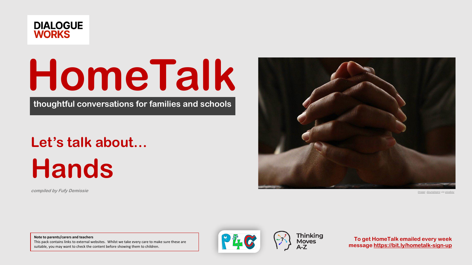

# **HomeTalk**

**thoughtful conversations for families and schools**

# **Let's talk about…**

# **Hands**

**compiled by Fufy Demissie**



*[Image:](https://pixabay.com/photos/hands-praying-worship-belief-5441201/) [doungtepro](https://pixabay.com/users/doungtepro-4575989/) via pixaba* 

**Note to parents/carers and teachers** This pack contains links to external websites. Whilst we take every care to make sure these are suitable, you may want to check the content before showing them to children.



**Thinking**<br>Moves

**To get HomeTalk emailed every week message<https://bit.ly/hometalk-sign-up>**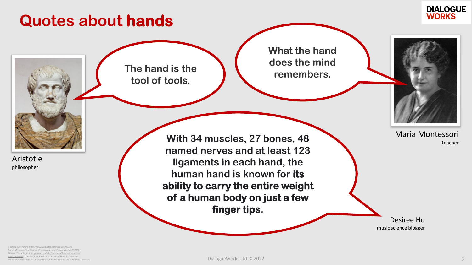### **Quotes about hands**



**The hand is the tool of tools.**

**What the hand does the mind remembers.**



Maria Montessori teacher

Desiree Ho music science blogger

Aristotle philosopher

**With 34 muscles, 27 bones, 48 named nerves and at least 123 ligaments in each hand, the human hand is known for its ability to carry the entire weight of a human body on just a few finger tips.**

*Aristotle quote from <https://www.azquotes.com/quote/1041579> Maria Montessori quote from <https://www.azquotes.com/quote/857986> Desiree Ho quote from <https://interlude.hk/the-incredible-human-hands/> [Aristotle image](https://commons.wikimedia.org/wiki/File:Aristotle_Altemps_Inv8575.jpg): After Lysippos, Public domain, via Wikimedia Commons [Maria Montessori image:](https://commons.wikimedia.org/wiki/File:Maria_Montessori_(portrait).jpg) Unknown author, Public domain, via Wikimedia Commons*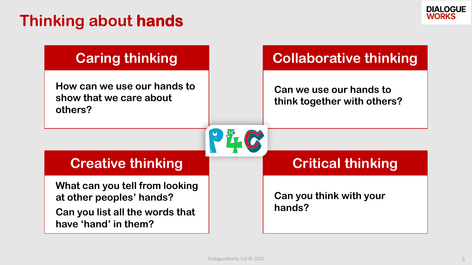## **Thinking about hands**



### **Caring thinking**

**How can we use our hands to show that we care about others?**

### **Collaborative thinking**

**Can we use our hands to think together with others?**

### **Creative thinking**

**What can you tell from looking at other peoples' hands?**

**Can you list all the words that have 'hand' in them?**

### **Critical thinking**

**Can you think with your hands?**

PH-C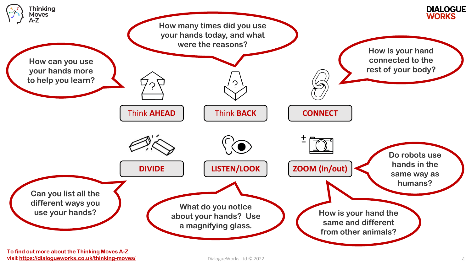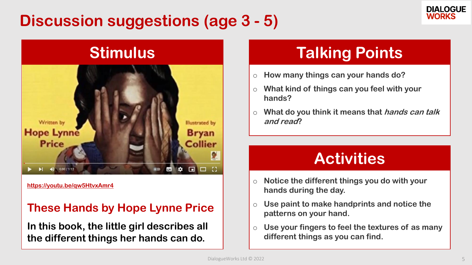## **Discussion suggestions (age 3 - 5)**





**<https://youtu.be/qw5HtvxAmr4>**

### **These Hands by Hope Lynne Price**

**In this book, the little girl describes all the different things her hands can do.**

# **Talking Points**

- o **How many things can your hands do?**
- o **What kind of things can you feel with your hands?**
- o **What do you think it means that hands can talk and read?**

## **Activities**

- o **Notice the different things you do with your hands during the day.**
- o **Use paint to make handprints and notice the patterns on your hand.**
- o **Use your fingers to feel the textures of as many different things as you can find.**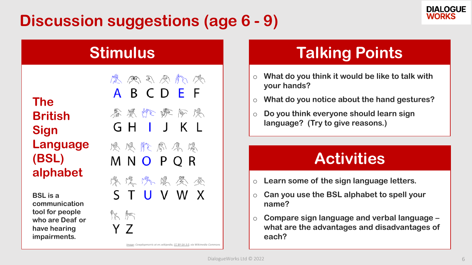# **Discussion suggestions (age 6 - 9)**



**The British Sign Language (BSL) alphabet**

**BSL is a communication tool for people who are Deaf or have hearing impairments.** 

A B C D E F 春恩师欢阿恩 GH J K L 恩恩质周原恩 MNO PQR 紧没办案参查 S T U V W X  $\mathbb{R}$   $\mathbb{R}$ Y 7

医医马恩尔威

*[Image:](https://commons.wikimedia.org/wiki/File:British_Sign_Language_chart.png) Cowplopmorris at en.wikipedia, [CC BY-SA 3.0,](https://creativecommons.org/licenses/by-sa/3.0) via Wikimedia Commons*

### **Stimulus Talking Points**

- o **What do you think it would be like to talk with your hands?**
- o **What do you notice about the hand gestures?**
- o **Do you think everyone should learn sign language? (Try to give reasons.)**

# **Activities**

- o **Learn some of the sign language letters.**
- o **Can you use the BSL alphabet to spell your name?**
- o **Compare sign language and verbal language – what are the advantages and disadvantages of each?**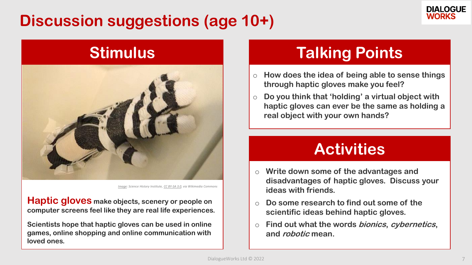# **Discussion suggestions (age 10+)**





*[Image](https://commons.wikimedia.org/wiki/File:Exo-Skin_Soft_Haptic_exoskeletal_interface_DSCF2171.jpg): Science History Institute, [CC BY-SA 3.0,](https://creativecommons.org/licenses/by-sa/3.0) via Wikimedia Commons* 

**Haptic gloves make objects, scenery or people on computer screens feel like they are real life experiences.**

**Scientists hope that haptic gloves can be used in online games, online shopping and online communication with loved ones.**

### **Stimulus Talking Points**

- o **How does the idea of being able to sense things through haptic gloves make you feel?**
- o **Do you think that 'holding' a virtual object with haptic gloves can ever be the same as holding a real object with your own hands?**

### **Activities**

- o **Write down some of the advantages and disadvantages of haptic gloves. Discuss your ideas with friends.**
- o **Do some research to find out some of the scientific ideas behind haptic gloves.**
- o **Find out what the words bionics, cybernetics, and robotic mean.**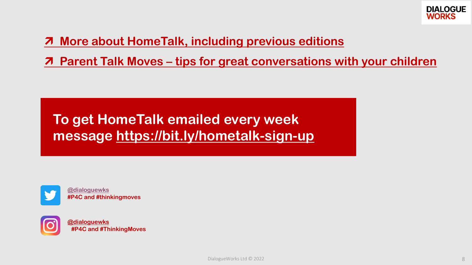

### **[More about HomeTalk, including previous editions](https://dialogueworks.co.uk/HomeTalk/)**

**<u>***A* Parent Talk Moves – [tips for great conversations with your children](https://www.topsypage.com/blog/2020/4/3/parent-talk-moves)</u>

### **To get HomeTalk emailed every week message<https://bit.ly/hometalk-sign-up>**



**[@dialoguewks](https://twitter.com/dialoguewks) #P4C and #thinkingmoves**



**[@dialoguewks](https://www.instagram.com/dialoguewks/) #P4C and #ThinkingMoves**